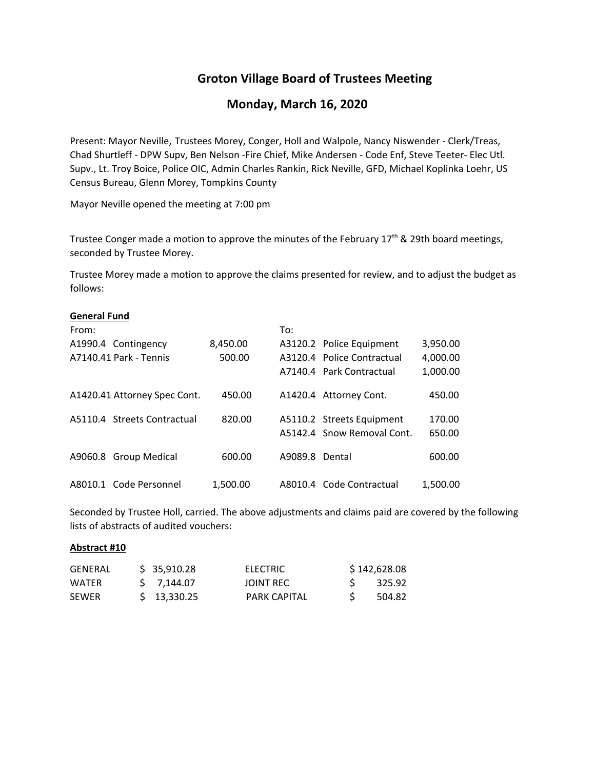# **Groton Village Board of Trustees Meeting**

## **Monday, March 16, 2020**

Present: Mayor Neville, Trustees Morey, Conger, Holl and Walpole, Nancy Niswender ‐ Clerk/Treas, Chad Shurtleff ‐ DPW Supv, Ben Nelson ‐Fire Chief, Mike Andersen ‐ Code Enf, Steve Teeter‐ Elec Utl. Supv., Lt. Troy Boice, Police OIC, Admin Charles Rankin, Rick Neville, GFD, Michael Koplinka Loehr, US Census Bureau, Glenn Morey, Tompkins County

Mayor Neville opened the meeting at 7:00 pm

Trustee Conger made a motion to approve the minutes of the February  $17<sup>th</sup>$  & 29th board meetings, seconded by Trustee Morey.

Trustee Morey made a motion to approve the claims presented for review, and to adjust the budget as follows:

### **General Fund**

| From: |                              |          | To:            |                            |          |
|-------|------------------------------|----------|----------------|----------------------------|----------|
|       | A1990.4 Contingency          | 8,450.00 |                | A3120.2 Police Equipment   | 3,950.00 |
|       | A7140.41 Park - Tennis       | 500.00   |                | A3120.4 Police Contractual | 4,000.00 |
|       |                              |          |                | A7140.4 Park Contractual   | 1,000.00 |
|       | A1420.41 Attorney Spec Cont. | 450.00   |                | A1420.4 Attorney Cont.     | 450.00   |
|       | A5110.4 Streets Contractual  | 820.00   |                | A5110.2 Streets Equipment  | 170.00   |
|       |                              |          |                | A5142.4 Snow Removal Cont. | 650.00   |
|       | A9060.8 Group Medical        | 600.00   | A9089.8 Dental |                            | 600.00   |
|       | A8010.1 Code Personnel       | 1.500.00 |                | A8010.4 Code Contractual   | 1.500.00 |

Seconded by Trustee Holl, carried. The above adjustments and claims paid are covered by the following lists of abstracts of audited vouchers:

### **Abstract #10**

| GENERAL | \$35,910.28   | ELECTRIC            | \$142,628.08 |
|---------|---------------|---------------------|--------------|
| WATER   | S 7.144.07    | JOINT REC           | 325.92       |
| SEWER   | $5$ 13.330.25 | <b>PARK CAPITAL</b> | 504.82       |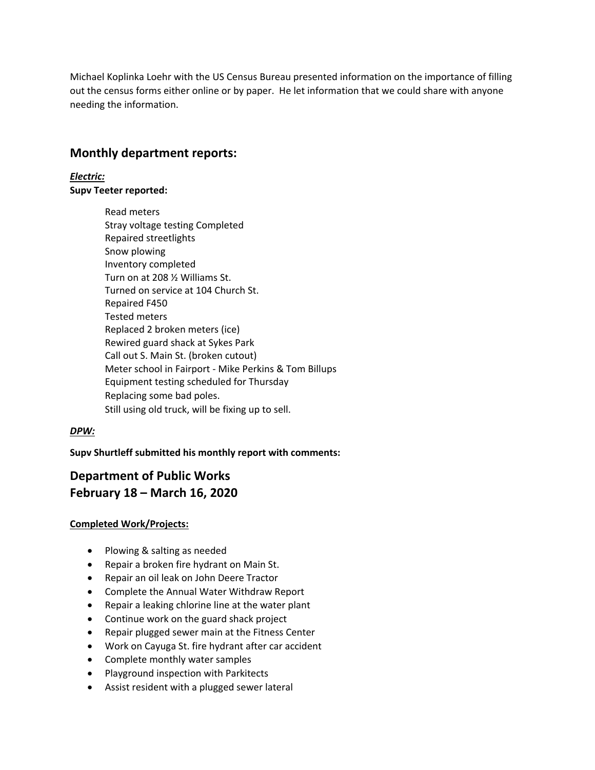Michael Koplinka Loehr with the US Census Bureau presented information on the importance of filling out the census forms either online or by paper. He let information that we could share with anyone needing the information.

# **Monthly department reports:**

*Electric:* **Supv Teeter reported:**

> Read meters Stray voltage testing Completed Repaired streetlights Snow plowing Inventory completed Turn on at 208 ½ Williams St. Turned on service at 104 Church St. Repaired F450 Tested meters Replaced 2 broken meters (ice) Rewired guard shack at Sykes Park Call out S. Main St. (broken cutout) Meter school in Fairport ‐ Mike Perkins & Tom Billups Equipment testing scheduled for Thursday Replacing some bad poles. Still using old truck, will be fixing up to sell.

## *DPW:*

**Supv Shurtleff submitted his monthly report with comments:**

# **Department of Public Works February 18 – March 16, 2020**

## **Completed Work/Projects:**

- Plowing & salting as needed
- Repair a broken fire hydrant on Main St.
- Repair an oil leak on John Deere Tractor
- Complete the Annual Water Withdraw Report
- Repair a leaking chlorine line at the water plant
- Continue work on the guard shack project
- Repair plugged sewer main at the Fitness Center
- Work on Cayuga St. fire hydrant after car accident
- Complete monthly water samples
- Playground inspection with Parkitects
- Assist resident with a plugged sewer lateral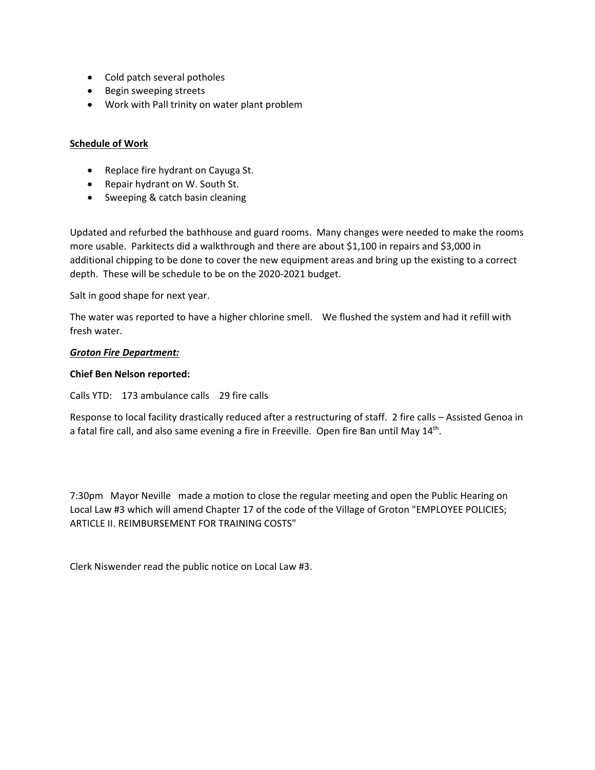- Cold patch several potholes
- **•** Begin sweeping streets
- Work with Pall trinity on water plant problem

### **Schedule of Work**

- Replace fire hydrant on Cayuga St.
- Repair hydrant on W. South St.
- Sweeping & catch basin cleaning

Updated and refurbed the bathhouse and guard rooms. Many changes were needed to make the rooms more usable. Parkitects did a walkthrough and there are about \$1,100 in repairs and \$3,000 in additional chipping to be done to cover the new equipment areas and bring up the existing to a correct depth. These will be schedule to be on the 2020‐2021 budget.

Salt in good shape for next year.

The water was reported to have a higher chlorine smell. We flushed the system and had it refill with fresh water.

### *Groton Fire Department:*

### **Chief Ben Nelson reported:**

Calls YTD: 173 ambulance calls 29 fire calls

Response to local facility drastically reduced after a restructuring of staff. 2 fire calls – Assisted Genoa in a fatal fire call, and also same evening a fire in Freeville. Open fire Ban until May 14<sup>th</sup>.

7:30pm Mayor Neville made a motion to close the regular meeting and open the Public Hearing on Local Law #3 which will amend Chapter 17 of the code of the Village of Groton "EMPLOYEE POLICIES; ARTICLE II. REIMBURSEMENT FOR TRAINING COSTS"

Clerk Niswender read the public notice on Local Law #3.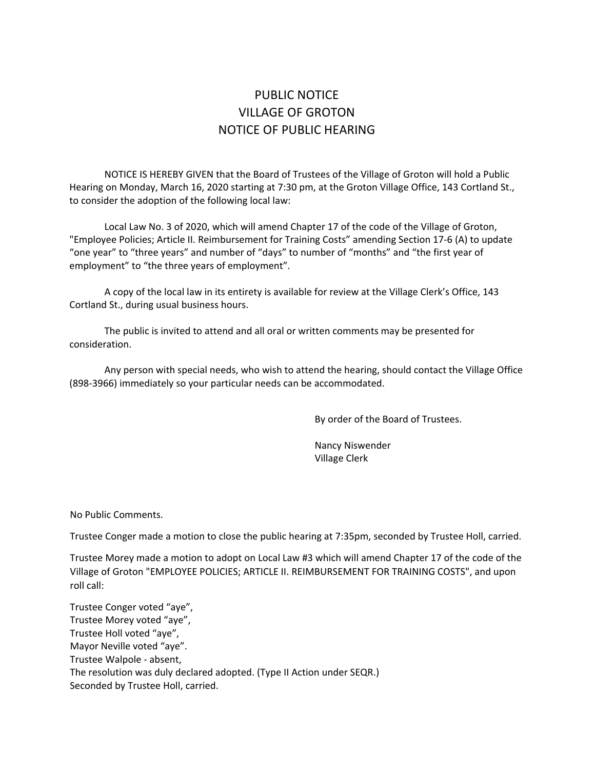# PUBLIC NOTICE VILLAGE OF GROTON NOTICE OF PUBLIC HEARING

NOTICE IS HEREBY GIVEN that the Board of Trustees of the Village of Groton will hold a Public Hearing on Monday, March 16, 2020 starting at 7:30 pm, at the Groton Village Office, 143 Cortland St., to consider the adoption of the following local law:

Local Law No. 3 of 2020, which will amend Chapter 17 of the code of the Village of Groton, "Employee Policies; Article II. Reimbursement for Training Costs" amending Section 17‐6 (A) to update "one year" to "three years" and number of "days" to number of "months" and "the first year of employment" to "the three years of employment".

A copy of the local law in its entirety is available for review at the Village Clerk's Office, 143 Cortland St., during usual business hours.

The public is invited to attend and all oral or written comments may be presented for consideration.

Any person with special needs, who wish to attend the hearing, should contact the Village Office (898‐3966) immediately so your particular needs can be accommodated.

By order of the Board of Trustees.

Nancy Niswender Village Clerk

No Public Comments.

Trustee Conger made a motion to close the public hearing at 7:35pm, seconded by Trustee Holl, carried.

Trustee Morey made a motion to adopt on Local Law #3 which will amend Chapter 17 of the code of the Village of Groton "EMPLOYEE POLICIES; ARTICLE II. REIMBURSEMENT FOR TRAINING COSTS", and upon roll call:

Trustee Conger voted "aye", Trustee Morey voted "aye", Trustee Holl voted "aye", Mayor Neville voted "aye". Trustee Walpole ‐ absent, The resolution was duly declared adopted. (Type II Action under SEQR.) Seconded by Trustee Holl, carried.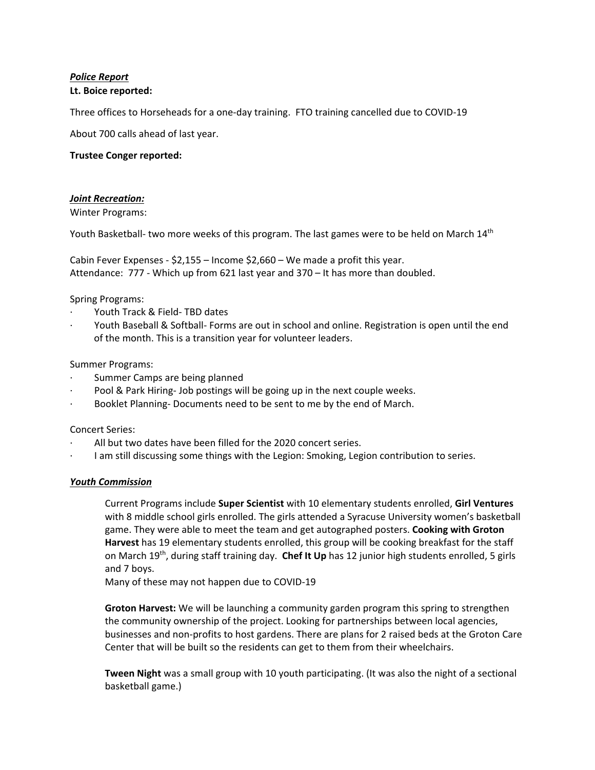## *Police Report*

### **Lt. Boice reported:**

Three offices to Horseheads for a one‐day training. FTO training cancelled due to COVID‐19

About 700 calls ahead of last year.

### **Trustee Conger reported:**

### *Joint Recreation:*

Winter Programs:

Youth Basketball- two more weeks of this program. The last games were to be held on March 14<sup>th</sup>

Cabin Fever Expenses ‐ \$2,155 – Income \$2,660 – We made a profit this year. Attendance: 777 ‐ Which up from 621 last year and 370 – It has more than doubled.

### Spring Programs:

- ∙ Youth Track & Field‐ TBD dates
- ∙ Youth Baseball & Softball‐ Forms are out in school and online. Registration is open until the end of the month. This is a transition year for volunteer leaders.

### Summer Programs:

- ∙ Summer Camps are being planned
- Pool & Park Hiring- Job postings will be going up in the next couple weeks.
- ∙ Booklet Planning‐ Documents need to be sent to me by the end of March.

### Concert Series:

- ∙ All but two dates have been filled for the 2020 concert series.
- ∙ I am still discussing some things with the Legion: Smoking, Legion contribution to series.

### *Youth Commission*

Current Programs include **Super Scientist** with 10 elementary students enrolled, **Girl Ventures** with 8 middle school girls enrolled. The girls attended a Syracuse University women's basketball game. They were able to meet the team and get autographed posters. **Cooking with Groton Harvest** has 19 elementary students enrolled, this group will be cooking breakfast for the staff on March 19th, during staff training day. **Chef It Up** has 12 junior high students enrolled, 5 girls and 7 boys.

Many of these may not happen due to COVID‐19

**Groton Harvest:** We will be launching a community garden program this spring to strengthen the community ownership of the project. Looking for partnerships between local agencies, businesses and non‐profits to host gardens. There are plans for 2 raised beds at the Groton Care Center that will be built so the residents can get to them from their wheelchairs.

**Tween Night** was a small group with 10 youth participating. (It was also the night of a sectional basketball game.)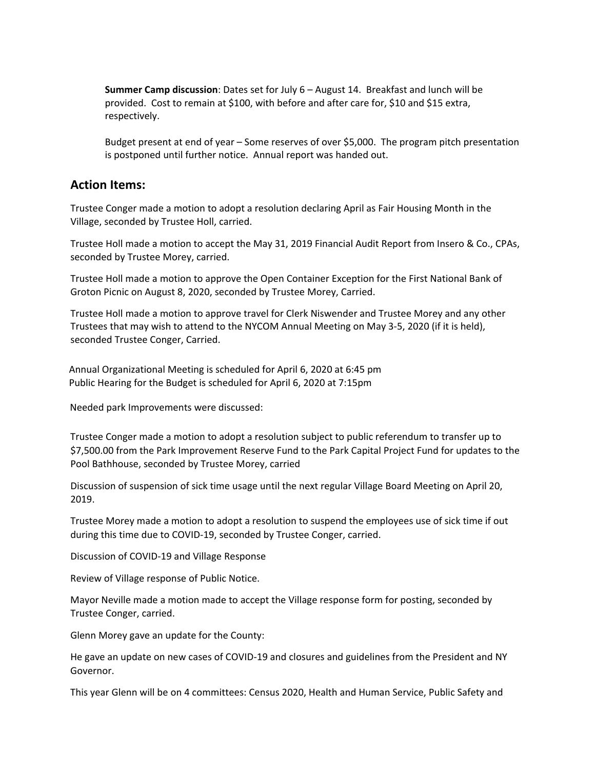**Summer Camp discussion**: Dates set for July 6 – August 14. Breakfast and lunch will be provided. Cost to remain at \$100, with before and after care for, \$10 and \$15 extra, respectively.

Budget present at end of year – Some reserves of over \$5,000. The program pitch presentation is postponed until further notice. Annual report was handed out.

## **Action Items:**

Trustee Conger made a motion to adopt a resolution declaring April as Fair Housing Month in the Village, seconded by Trustee Holl, carried.

Trustee Holl made a motion to accept the May 31, 2019 Financial Audit Report from Insero & Co., CPAs, seconded by Trustee Morey, carried.

Trustee Holl made a motion to approve the Open Container Exception for the First National Bank of Groton Picnic on August 8, 2020, seconded by Trustee Morey, Carried.

Trustee Holl made a motion to approve travel for Clerk Niswender and Trustee Morey and any other Trustees that may wish to attend to the NYCOM Annual Meeting on May 3‐5, 2020 (if it is held), seconded Trustee Conger, Carried.

Annual Organizational Meeting is scheduled for April 6, 2020 at 6:45 pm Public Hearing for the Budget is scheduled for April 6, 2020 at 7:15pm

Needed park Improvements were discussed:

Trustee Conger made a motion to adopt a resolution subject to public referendum to transfer up to \$7,500.00 from the Park Improvement Reserve Fund to the Park Capital Project Fund for updates to the Pool Bathhouse, seconded by Trustee Morey, carried

Discussion of suspension of sick time usage until the next regular Village Board Meeting on April 20, 2019.

Trustee Morey made a motion to adopt a resolution to suspend the employees use of sick time if out during this time due to COVID‐19, seconded by Trustee Conger, carried.

Discussion of COVID‐19 and Village Response

Review of Village response of Public Notice.

Mayor Neville made a motion made to accept the Village response form for posting, seconded by Trustee Conger, carried.

Glenn Morey gave an update for the County:

He gave an update on new cases of COVID‐19 and closures and guidelines from the President and NY Governor.

This year Glenn will be on 4 committees: Census 2020, Health and Human Service, Public Safety and